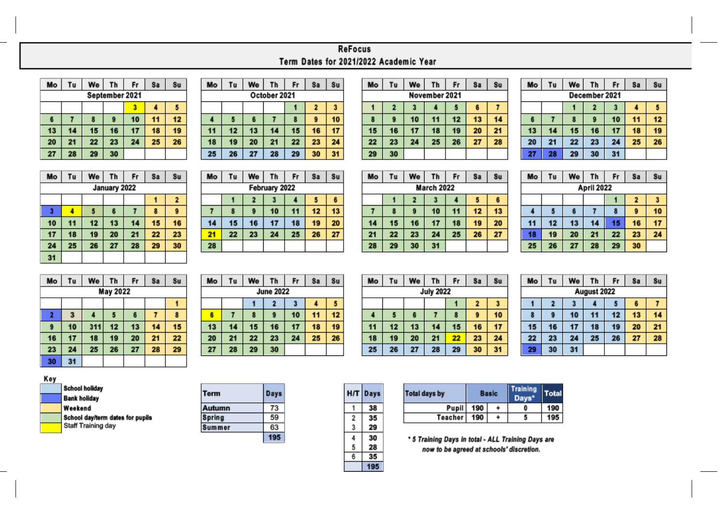## ReFocus Term Dates for 2021/2022 Academic Year

| Mo             | Tu | We | Th | Fr | <b>Sa</b> | Su |  |  |  |
|----------------|----|----|----|----|-----------|----|--|--|--|
| September 2021 |    |    |    |    |           |    |  |  |  |
|                |    |    |    |    |           |    |  |  |  |
| 6              |    | 8  | 9  | 10 | 11        | 12 |  |  |  |
| 13             | 14 | 15 | 16 | 17 | 18        | 19 |  |  |  |
| 20             | 21 | 22 | 23 | 24 | 25        | 26 |  |  |  |
| 27             | 28 | 29 | 30 |    |           |    |  |  |  |

| ٨o           | Tu | We | Th | Fr | Sa           | <b>Su</b> |  |  |  |  |
|--------------|----|----|----|----|--------------|-----------|--|--|--|--|
| October 2021 |    |    |    |    |              |           |  |  |  |  |
|              |    |    |    |    | $\mathbf{z}$ | 3         |  |  |  |  |
| 4            | 5  | 6  |    | 8  | 9            | 10        |  |  |  |  |
| 11           | 12 | 13 | 14 | 15 | 16           | 17        |  |  |  |  |
| 18           | 19 | 20 | 21 | 22 | 23           | 24        |  |  |  |  |
| 25           | 26 | 27 | 28 | 29 | 30           | 31        |  |  |  |  |

п

| Mo            | Tu           | We | Τh | Fr | Sa | Su |  |  |  |
|---------------|--------------|----|----|----|----|----|--|--|--|
| November 2021 |              |    |    |    |    |    |  |  |  |
|               | $\mathbf{2}$ | 3  |    | 5  | 6  |    |  |  |  |
| 8             | 9            | 10 | 11 | 12 | 13 | 14 |  |  |  |
| 15            | 16           | 17 | 18 | 19 | 20 | 21 |  |  |  |
| 22            | 23           | 24 | 25 | 26 | 27 | 28 |  |  |  |
| 29            | 30           |    |    |    |    |    |  |  |  |

| Mo            | Tu | We | Th             | Fr | Sa | <b>Su</b> |  |  |  |
|---------------|----|----|----------------|----|----|-----------|--|--|--|
| December 2021 |    |    |                |    |    |           |  |  |  |
|               |    |    | $\overline{2}$ | 3  |    | 5         |  |  |  |
| 6             |    | 8  | 9              | 10 | 11 | 12        |  |  |  |
| 13            | 14 | 15 | 16             | 17 | 18 | 19        |  |  |  |
| 20            | 21 | 22 | 23             | 24 | 25 | 26        |  |  |  |
| 27            | 28 | 29 | 30             | 31 |    |           |  |  |  |

| Mo | Tu | We | Th           | Fr | <b>Sa</b> | Su                      |
|----|----|----|--------------|----|-----------|-------------------------|
|    |    |    | January 2022 |    |           |                         |
|    |    |    |              |    |           | $\overline{\mathbf{z}}$ |
| 3  |    | 5  | 6            |    | 8         | 9                       |
| 10 | 11 | 12 | 13           | 14 | 15        | 16                      |
| 17 | 18 | 19 | 20           | 21 | 22        | 23                      |
| 24 | 25 | 26 | 27           | 28 | 29        | 30                      |
| 31 |    |    |              |    |           |                         |

| Mo            | Tu | We                      | Th | Fr | Sa | <b>Su</b> |  |  |  |  |
|---------------|----|-------------------------|----|----|----|-----------|--|--|--|--|
| February 2022 |    |                         |    |    |    |           |  |  |  |  |
|               |    | $\overline{\mathbf{2}}$ | 3  |    | 5  | 6         |  |  |  |  |
|               | 8  | 9                       | 10 | 11 | 12 | 13        |  |  |  |  |
| 14            | 15 | 16                      | 17 | 18 | 19 | 20        |  |  |  |  |
| 21            | 22 | 23                      | 24 | 25 | 26 | 27        |  |  |  |  |
| 28            |    |                         |    |    |    |           |  |  |  |  |

| Mo                | Tu | We           | Th | Fr | <b>Sa</b> | <b>Su</b> |  |  |  |
|-------------------|----|--------------|----|----|-----------|-----------|--|--|--|
| <b>March 2022</b> |    |              |    |    |           |           |  |  |  |
|                   |    | $\mathbf{2}$ | 3  |    | 5         | 6         |  |  |  |
|                   | 8  | 9            | 10 | 11 | 12        | 13        |  |  |  |
| 14                | 15 | 16           | 17 | 18 | 19        | 20        |  |  |  |
| 21                | 22 | 23           | 24 | 25 | 26        | 27        |  |  |  |
| 28                | 29 | 30           | 31 |    |           |           |  |  |  |

| Mo         | Τu | We | Th | Fr | <b>Sa</b> | <b>Su</b> |  |  |  |
|------------|----|----|----|----|-----------|-----------|--|--|--|
| April 2022 |    |    |    |    |           |           |  |  |  |
|            |    |    |    |    | 2         | 3         |  |  |  |
| 4          | 5  | 6  |    | 8  | 9         | 10        |  |  |  |
| 11         | 12 | 13 | 14 | 15 | 16        | 17        |  |  |  |
| 18         | 19 | 20 | 21 | 22 | 23        | 24        |  |  |  |
| 25         | 26 | 27 | 28 | 29 | 30        |           |  |  |  |

| Mo                      | Tu | We  | Th       | Fr | Sa | <b>Su</b> |
|-------------------------|----|-----|----------|----|----|-----------|
|                         |    |     | May 2022 |    |    |           |
|                         |    |     |          |    |    |           |
| $\overline{\mathbf{2}}$ | 3  |     | 5        | 6  |    |           |
| 9                       | 10 | 311 | 12       | 13 | 14 | 15        |
| 16                      | 17 | 18  | 19       | 20 | 21 | 22        |
| 23                      | 24 | 25  | 26       | 27 | 28 | 29        |
| 30                      | 31 |     |          |    |    |           |

| Mo               | Tu | We | Τh           | Fr | Sa | <b>Su</b> |  |  |  |  |
|------------------|----|----|--------------|----|----|-----------|--|--|--|--|
| <b>June 2022</b> |    |    |              |    |    |           |  |  |  |  |
|                  |    |    | $\mathbf{2}$ | 3  |    | 5         |  |  |  |  |
| 6                |    | 8  | 9            | 10 | 11 | 12        |  |  |  |  |
| 13               | 14 | 15 | 16           | 17 | 18 | 19        |  |  |  |  |
| 20               | 21 | 22 | 23           | 24 | 25 | 26        |  |  |  |  |
| 27               | 28 | 29 | 30           |    |    |           |  |  |  |  |

| Mo               | Tu | We | Th | Fr | Sa | <b>Su</b> |  |  |  |
|------------------|----|----|----|----|----|-----------|--|--|--|
| <b>July 2022</b> |    |    |    |    |    |           |  |  |  |
|                  |    |    |    |    | 2  | 3         |  |  |  |
| 4                | 5  | 6  |    | 8  | 9  | 10        |  |  |  |
| 11               | 12 | 13 | 14 | 15 | 16 | 17        |  |  |  |
| 18               | 19 | 20 | 21 | 22 | 23 | 24        |  |  |  |
| 25               | 26 | 27 | 28 | 29 | 30 | 31        |  |  |  |

| Mo          | Tu | We | Th | Fr | Sa | \$u |  |  |  |
|-------------|----|----|----|----|----|-----|--|--|--|
| August 2022 |    |    |    |    |    |     |  |  |  |
|             | 2  |    |    | ŋ  | 6  |     |  |  |  |
| 8           | 9  | 10 | 11 | 12 | 13 | 14  |  |  |  |
| 15          | 16 | 17 | 18 | 19 | 20 | 21  |  |  |  |
| 22          | 23 | 24 | 25 | 26 | 27 | 28  |  |  |  |
| 29          | 30 | 31 |    |    |    |     |  |  |  |

## Key

| School holiday                   |
|----------------------------------|
| <b>Bank holiday</b>              |
| Weekend                          |
| School day/term dates for pupils |
| Staff Training day               |

| Term   | Days |
|--------|------|
| Autumn | 73   |
| Spring | 59   |
| Summer | 63   |
|        | 95   |

| НΠ             | Days |
|----------------|------|
|                | 38   |
| $\overline{2}$ | 35   |
| 3              | 29   |
| 4              | 30   |
| 5              | 28   |
| 6              | 35   |
|                | 195  |

| <b>Total days by</b> | <b>Basic</b> |  | <b>Training</b> | Total |
|----------------------|--------------|--|-----------------|-------|
| <b>Pupil</b>         | 190          |  | 0               | 190   |
| <b>Teacher</b>       | 190          |  |                 |       |

\* 5 Training Days in total - ALL Training Days are now to be agreed at schools' discretion.